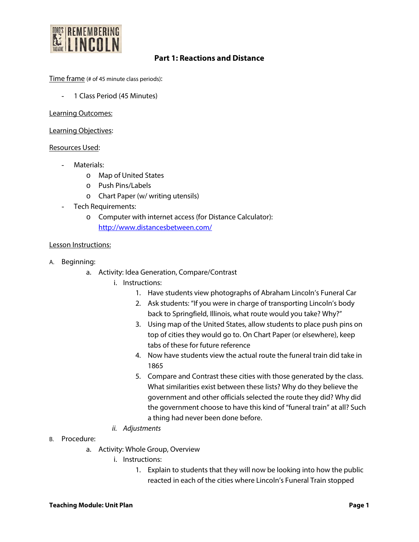

# **Part 1: Reactions and Distance**

Time frame (# of 45 minute class periods):

- 1 Class Period (45 Minutes)

Learning Outcomes:

Learning Objectives:

## Resources Used:

- Materials:
	- o Map of United States
	- o Push Pins/Labels
	- o Chart Paper (w/ writing utensils)
- Tech Requirements:
	- o Computer with internet access (for Distance Calculator): <http://www.distancesbetween.com/>

## Lesson Instructions:

- A. Beginning:
	- a. Activity: Idea Generation, Compare/Contrast
		- i. Instructions:
			- 1. Have students view photographs of Abraham Lincoln's Funeral Car
			- 2. Ask students: "If you were in charge of transporting Lincoln's body back to Springfield, Illinois, what route would you take? Why?"
			- 3. Using map of the United States, allow students to place push pins on top of cities they would go to. On Chart Paper (or elsewhere), keep tabs of these for future reference
			- 4. Now have students view the actual route the funeral train did take in 1865
			- 5. Compare and Contrast these cities with those generated by the class. What similarities exist between these lists? Why do they believe the government and other officials selected the route they did? Why did the government choose to have this kind of "funeral train" at all? Such a thing had never been done before.
		- *ii. Adjustments*
- B. Procedure:
	- a. Activity: Whole Group, Overview
		- i. Instructions:
			- 1. Explain to students that they will now be looking into how the public reacted in each of the cities where Lincoln's Funeral Train stopped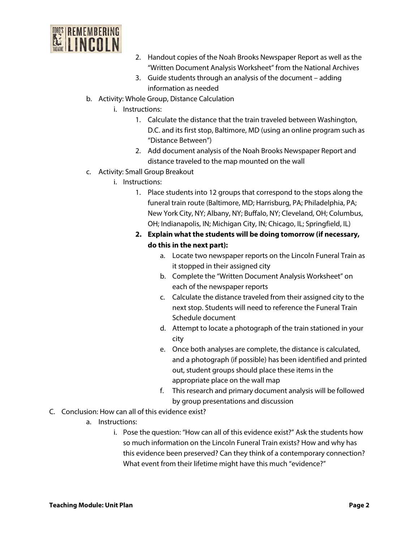

- 2. Handout copies of the Noah Brooks Newspaper Report as well as the "Written Document Analysis Worksheet" from the National Archives
- 3. Guide students through an analysis of the document adding information as needed
- b. Activity: Whole Group, Distance Calculation
	- i. Instructions:
		- 1. Calculate the distance that the train traveled between Washington, D.C. and its first stop, Baltimore, MD (using an online program such as "Distance Between")
		- 2. Add document analysis of the Noah Brooks Newspaper Report and distance traveled to the map mounted on the wall
- c. Activity: Small Group Breakout
	- i. Instructions:
		- 1. Place students into 12 groups that correspond to the stops along the funeral train route (Baltimore, MD; Harrisburg, PA; Philadelphia, PA; New York City, NY; Albany, NY; Buffalo, NY; Cleveland, OH; Columbus, OH; Indianapolis, IN; Michigan City, IN; Chicago, IL; Springfield, IL)
		- **2. Explain what the students will be doing tomorrow (if necessary, do this in the next part):**
			- a. Locate two newspaper reports on the Lincoln Funeral Train as it stopped in their assigned city
			- b. Complete the "Written Document Analysis Worksheet" on each of the newspaper reports
			- c. Calculate the distance traveled from their assigned city to the next stop. Students will need to reference the Funeral Train Schedule document
			- d. Attempt to locate a photograph of the train stationed in your city
			- e. Once both analyses are complete, the distance is calculated, and a photograph (if possible) has been identified and printed out, student groups should place these items in the appropriate place on the wall map
			- f. This research and primary document analysis will be followed by group presentations and discussion
- C. Conclusion: How can all of this evidence exist?
	- a. Instructions:
		- i. Pose the question: "How can all of this evidence exist?" Ask the students how so much information on the Lincoln Funeral Train exists? How and why has this evidence been preserved? Can they think of a contemporary connection? What event from their lifetime might have this much "evidence?"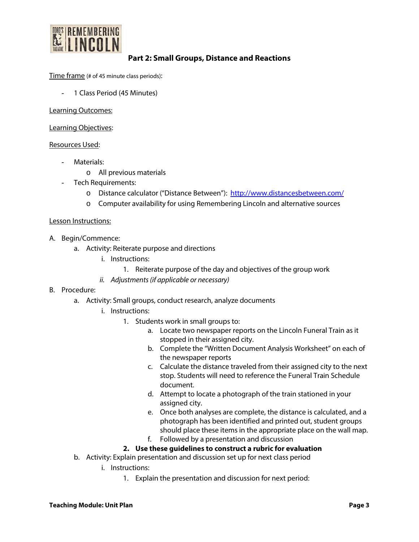

## **Part 2: Small Groups, Distance and Reactions**

Time frame (# of 45 minute class periods):

1 Class Period (45 Minutes)

Learning Outcomes:

Learning Objectives:

## Resources Used:

- Materials:
	- o All previous materials
- Tech Requirements:
	- o Distance calculator ("Distance Between"): <http://www.distancesbetween.com/>
	- o Computer availability for using Remembering Lincoln and alternative sources

## Lesson Instructions:

- A. Begin/Commence:
	- a. Activity: Reiterate purpose and directions
		- i. Instructions:
			- 1. Reiterate purpose of the day and objectives of the group work
		- *ii. Adjustments (if applicable or necessary)*
- B. Procedure:
	- a. Activity: Small groups, conduct research, analyze documents
		- i. Instructions:
			- 1. Students work in small groups to:
				- a. Locate two newspaper reports on the Lincoln Funeral Train as it stopped in their assigned city.
				- b. Complete the "Written Document Analysis Worksheet" on each of the newspaper reports
				- c. Calculate the distance traveled from their assigned city to the next stop. Students will need to reference the Funeral Train Schedule document.
				- d. Attempt to locate a photograph of the train stationed in your assigned city.
				- e. Once both analyses are complete, the distance is calculated, and a photograph has been identified and printed out, student groups should place these items in the appropriate place on the wall map.
				- f. Followed by a presentation and discussion

## **2. Use these guidelines to construct a rubric for evaluation**

- b. Activity: Explain presentation and discussion set up for next class period
	- i. Instructions:
		- 1. Explain the presentation and discussion for next period: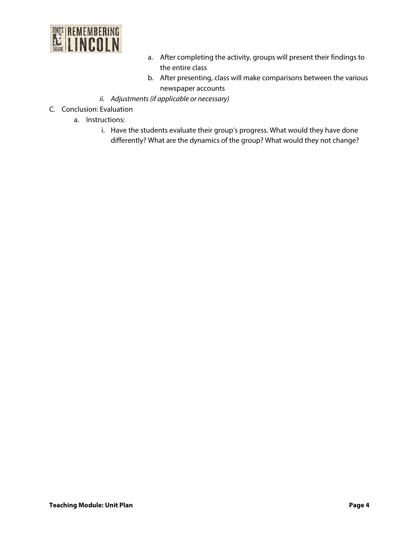

- a. After completing the activity, groups will present their findings to the entire class
- b. After presenting, class will make comparisons between the various newspaper accounts
- *ii. Adjustments (if applicable or necessary)*
- C. Conclusion: Evaluation
	- a. Instructions:
		- i. Have the students evaluate their group's progress. What would they have done differently? What are the dynamics of the group? What would they not change?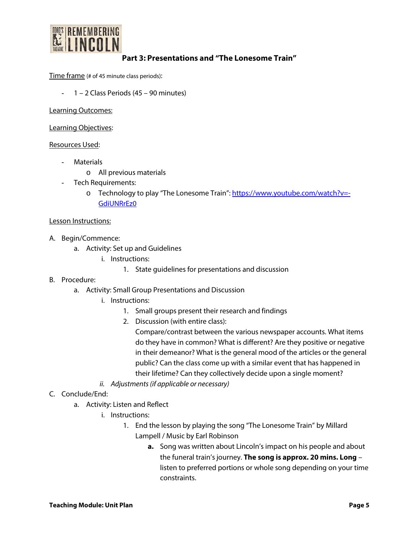

# **Part 3: Presentations and "The Lonesome Train"**

Time frame (# of 45 minute class periods):

- 1 – 2 Class Periods (45 – 90 minutes)

Learning Outcomes:

Learning Objectives:

## Resources Used:

- **Materials** 
	- o All previous materials
- Tech Requirements:
	- o Technology to play "The Lonesome Train"[: https://www.youtube.com/watch?v=-](https://www.youtube.com/watch?v=-GdiUNRrEz0) [GdiUNRrEz0](https://www.youtube.com/watch?v=-GdiUNRrEz0)

#### Lesson Instructions:

- A. Begin/Commence:
	- a. Activity: Set up and Guidelines
		- i. Instructions:
			- 1. State guidelines for presentations and discussion

## B. Procedure:

- a. Activity: Small Group Presentations and Discussion
	- i. Instructions:
		- 1. Small groups present their research and findings
		- 2. Discussion (with entire class):

Compare/contrast between the various newspaper accounts. What items do they have in common? What is different? Are they positive or negative in their demeanor? What is the general mood of the articles or the general public? Can the class come up with a similar event that has happened in their lifetime? Can they collectively decide upon a single moment?

- *ii. Adjustments (if applicable or necessary)*
- C. Conclude/End:
	- a. Activity: Listen and Reflect
		- i. Instructions:
			- 1. End the lesson by playing the song "The Lonesome Train" by Millard Lampell / Music by Earl Robinson
				- **a.** Song was written about Lincoln's impact on his people and about the funeral train's journey. **The song is approx. 20 mins. Long** – listen to preferred portions or whole song depending on your time constraints.